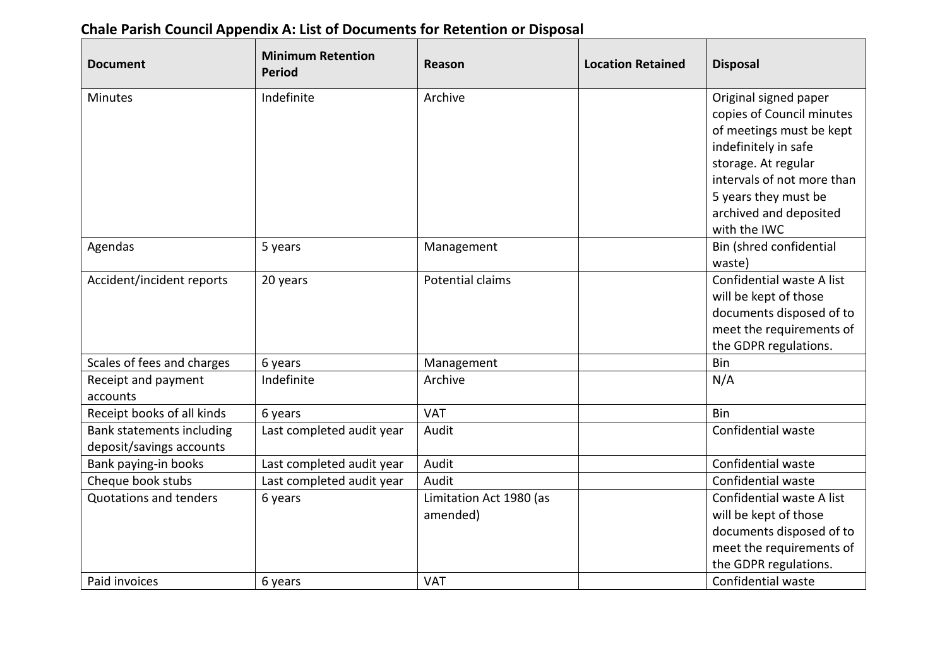| <b>Document</b>                                       | <b>Minimum Retention</b><br><b>Period</b> | Reason                              | <b>Location Retained</b> | <b>Disposal</b>                                                                                                                                                                                                               |
|-------------------------------------------------------|-------------------------------------------|-------------------------------------|--------------------------|-------------------------------------------------------------------------------------------------------------------------------------------------------------------------------------------------------------------------------|
| <b>Minutes</b>                                        | Indefinite                                | Archive                             |                          | Original signed paper<br>copies of Council minutes<br>of meetings must be kept<br>indefinitely in safe<br>storage. At regular<br>intervals of not more than<br>5 years they must be<br>archived and deposited<br>with the IWC |
| Agendas                                               | 5 years                                   | Management                          |                          | Bin (shred confidential<br>waste)                                                                                                                                                                                             |
| Accident/incident reports                             | 20 years                                  | Potential claims                    |                          | Confidential waste A list<br>will be kept of those<br>documents disposed of to<br>meet the requirements of<br>the GDPR regulations.                                                                                           |
| Scales of fees and charges                            | 6 years                                   | Management                          |                          | Bin                                                                                                                                                                                                                           |
| Receipt and payment<br>accounts                       | Indefinite                                | Archive                             |                          | N/A                                                                                                                                                                                                                           |
| Receipt books of all kinds                            | 6 years                                   | <b>VAT</b>                          |                          | Bin                                                                                                                                                                                                                           |
| Bank statements including<br>deposit/savings accounts | Last completed audit year                 | Audit                               |                          | Confidential waste                                                                                                                                                                                                            |
| Bank paying-in books                                  | Last completed audit year                 | Audit                               |                          | Confidential waste                                                                                                                                                                                                            |
| Cheque book stubs                                     | Last completed audit year                 | Audit                               |                          | Confidential waste                                                                                                                                                                                                            |
| Quotations and tenders                                | 6 years                                   | Limitation Act 1980 (as<br>amended) |                          | Confidential waste A list<br>will be kept of those<br>documents disposed of to<br>meet the requirements of<br>the GDPR regulations.                                                                                           |
| Paid invoices                                         | 6 years                                   | <b>VAT</b>                          |                          | Confidential waste                                                                                                                                                                                                            |

## **Chale Parish Council Appendix A: List of Documents for Retention or Disposal**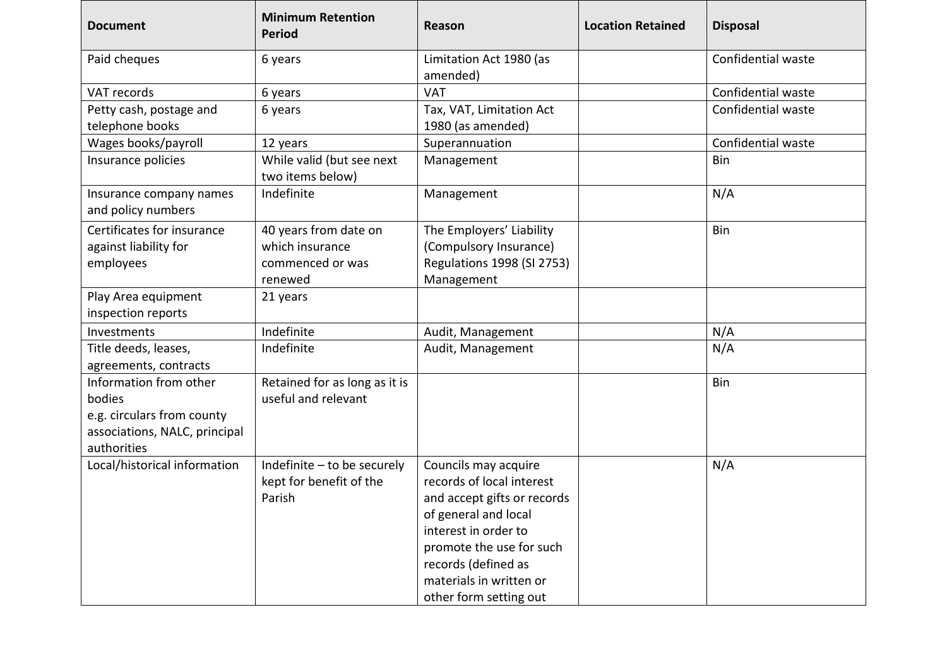| <b>Document</b>                                                                                                | <b>Minimum Retention</b><br><b>Period</b>                               | <b>Reason</b>                                                                                                                                                                                                                            | <b>Location Retained</b> | <b>Disposal</b>    |
|----------------------------------------------------------------------------------------------------------------|-------------------------------------------------------------------------|------------------------------------------------------------------------------------------------------------------------------------------------------------------------------------------------------------------------------------------|--------------------------|--------------------|
| Paid cheques                                                                                                   | 6 years                                                                 | Limitation Act 1980 (as<br>amended)                                                                                                                                                                                                      |                          | Confidential waste |
| VAT records                                                                                                    | 6 years                                                                 | <b>VAT</b>                                                                                                                                                                                                                               |                          | Confidential waste |
| Petty cash, postage and<br>telephone books                                                                     | 6 years                                                                 | Tax, VAT, Limitation Act<br>1980 (as amended)                                                                                                                                                                                            |                          | Confidential waste |
| Wages books/payroll                                                                                            | 12 years                                                                | Superannuation                                                                                                                                                                                                                           |                          | Confidential waste |
| Insurance policies                                                                                             | While valid (but see next<br>two items below)                           | Management                                                                                                                                                                                                                               |                          | <b>Bin</b>         |
| Insurance company names<br>and policy numbers                                                                  | Indefinite                                                              | Management                                                                                                                                                                                                                               |                          | N/A                |
| Certificates for insurance<br>against liability for<br>employees                                               | 40 years from date on<br>which insurance<br>commenced or was<br>renewed | The Employers' Liability<br>(Compulsory Insurance)<br>Regulations 1998 (SI 2753)<br>Management                                                                                                                                           |                          | Bin                |
| Play Area equipment<br>inspection reports                                                                      | 21 years                                                                |                                                                                                                                                                                                                                          |                          |                    |
| Investments                                                                                                    | Indefinite                                                              | Audit, Management                                                                                                                                                                                                                        |                          | N/A                |
| Title deeds, leases,<br>agreements, contracts                                                                  | Indefinite                                                              | Audit, Management                                                                                                                                                                                                                        |                          | N/A                |
| Information from other<br>bodies<br>e.g. circulars from county<br>associations, NALC, principal<br>authorities | Retained for as long as it is<br>useful and relevant                    |                                                                                                                                                                                                                                          |                          | Bin                |
| Local/historical information                                                                                   | Indefinite - to be securely<br>kept for benefit of the<br>Parish        | Councils may acquire<br>records of local interest<br>and accept gifts or records<br>of general and local<br>interest in order to<br>promote the use for such<br>records (defined as<br>materials in written or<br>other form setting out |                          | N/A                |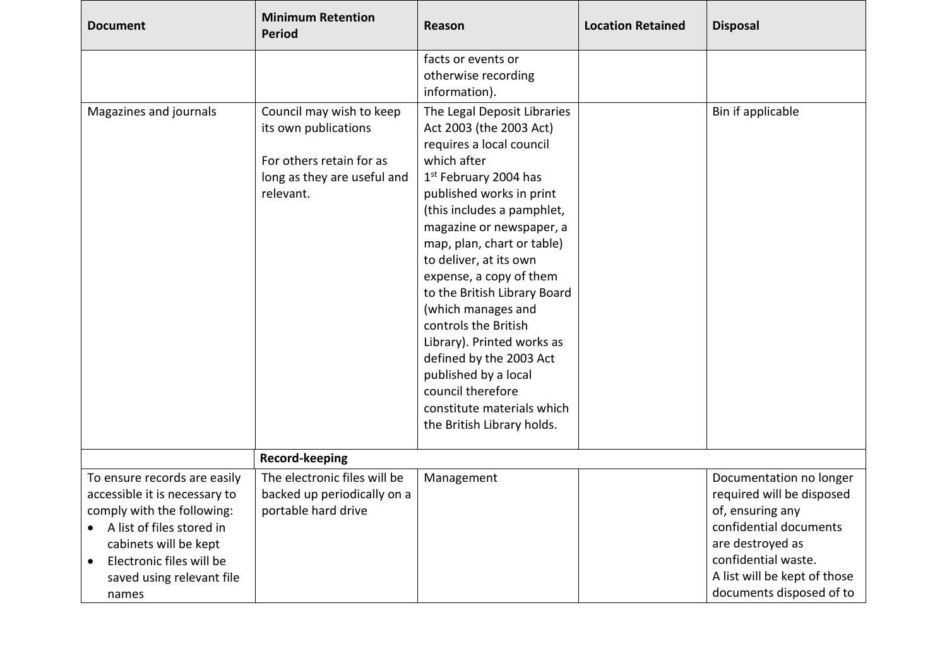| <b>Document</b>                        | <b>Minimum Retention</b><br><b>Period</b> | Reason                            | <b>Location Retained</b> | <b>Disposal</b>              |
|----------------------------------------|-------------------------------------------|-----------------------------------|--------------------------|------------------------------|
|                                        |                                           | facts or events or                |                          |                              |
|                                        |                                           | otherwise recording               |                          |                              |
|                                        |                                           | information).                     |                          |                              |
| Magazines and journals                 | Council may wish to keep                  | The Legal Deposit Libraries       |                          | Bin if applicable            |
|                                        | its own publications                      | Act 2003 (the 2003 Act)           |                          |                              |
|                                        |                                           | requires a local council          |                          |                              |
|                                        | For others retain for as                  | which after                       |                          |                              |
|                                        | long as they are useful and               | 1 <sup>st</sup> February 2004 has |                          |                              |
|                                        | relevant.                                 | published works in print          |                          |                              |
|                                        |                                           | (this includes a pamphlet,        |                          |                              |
|                                        |                                           | magazine or newspaper, a          |                          |                              |
|                                        |                                           | map, plan, chart or table)        |                          |                              |
|                                        |                                           | to deliver, at its own            |                          |                              |
|                                        |                                           | expense, a copy of them           |                          |                              |
|                                        |                                           | to the British Library Board      |                          |                              |
|                                        |                                           | (which manages and                |                          |                              |
|                                        |                                           | controls the British              |                          |                              |
|                                        |                                           | Library). Printed works as        |                          |                              |
|                                        |                                           | defined by the 2003 Act           |                          |                              |
|                                        |                                           | published by a local              |                          |                              |
|                                        |                                           | council therefore                 |                          |                              |
|                                        |                                           | constitute materials which        |                          |                              |
|                                        |                                           | the British Library holds.        |                          |                              |
|                                        | <b>Record-keeping</b>                     |                                   |                          |                              |
| To ensure records are easily           | The electronic files will be              | Management                        |                          | Documentation no longer      |
| accessible it is necessary to          | backed up periodically on a               |                                   |                          | required will be disposed    |
| comply with the following:             | portable hard drive                       |                                   |                          | of, ensuring any             |
| A list of files stored in<br>$\bullet$ |                                           |                                   |                          | confidential documents       |
| cabinets will be kept                  |                                           |                                   |                          | are destroyed as             |
| Electronic files will be<br>$\bullet$  |                                           |                                   |                          | confidential waste.          |
| saved using relevant file              |                                           |                                   |                          | A list will be kept of those |
| names                                  |                                           |                                   |                          | documents disposed of to     |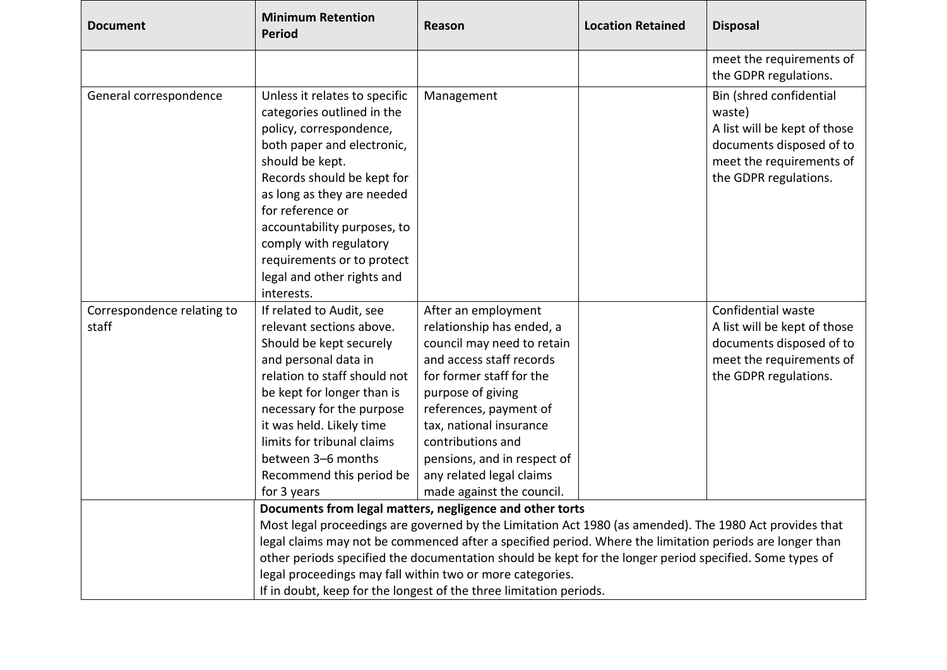| <b>Document</b>                     | <b>Minimum Retention</b><br><b>Period</b>                                                                                                                                                                                                                                                                                                                                                                                                                                                                                     | <b>Reason</b>                                                                                                                                                                                                                                                                                                                 | <b>Location Retained</b> | <b>Disposal</b>                                                                                                                                    |
|-------------------------------------|-------------------------------------------------------------------------------------------------------------------------------------------------------------------------------------------------------------------------------------------------------------------------------------------------------------------------------------------------------------------------------------------------------------------------------------------------------------------------------------------------------------------------------|-------------------------------------------------------------------------------------------------------------------------------------------------------------------------------------------------------------------------------------------------------------------------------------------------------------------------------|--------------------------|----------------------------------------------------------------------------------------------------------------------------------------------------|
|                                     |                                                                                                                                                                                                                                                                                                                                                                                                                                                                                                                               |                                                                                                                                                                                                                                                                                                                               |                          | meet the requirements of<br>the GDPR regulations.                                                                                                  |
| General correspondence              | Unless it relates to specific<br>categories outlined in the<br>policy, correspondence,<br>both paper and electronic,<br>should be kept.<br>Records should be kept for<br>as long as they are needed<br>for reference or<br>accountability purposes, to<br>comply with regulatory<br>requirements or to protect<br>legal and other rights and<br>interests.                                                                                                                                                                    | Management                                                                                                                                                                                                                                                                                                                    |                          | Bin (shred confidential<br>waste)<br>A list will be kept of those<br>documents disposed of to<br>meet the requirements of<br>the GDPR regulations. |
| Correspondence relating to<br>staff | If related to Audit, see<br>relevant sections above.<br>Should be kept securely<br>and personal data in<br>relation to staff should not<br>be kept for longer than is<br>necessary for the purpose<br>it was held. Likely time<br>limits for tribunal claims<br>between 3-6 months<br>Recommend this period be<br>for 3 years                                                                                                                                                                                                 | After an employment<br>relationship has ended, a<br>council may need to retain<br>and access staff records<br>for former staff for the<br>purpose of giving<br>references, payment of<br>tax, national insurance<br>contributions and<br>pensions, and in respect of<br>any related legal claims<br>made against the council. |                          | Confidential waste<br>A list will be kept of those<br>documents disposed of to<br>meet the requirements of<br>the GDPR regulations.                |
|                                     | Documents from legal matters, negligence and other torts<br>Most legal proceedings are governed by the Limitation Act 1980 (as amended). The 1980 Act provides that<br>legal claims may not be commenced after a specified period. Where the limitation periods are longer than<br>other periods specified the documentation should be kept for the longer period specified. Some types of<br>legal proceedings may fall within two or more categories.<br>If in doubt, keep for the longest of the three limitation periods. |                                                                                                                                                                                                                                                                                                                               |                          |                                                                                                                                                    |